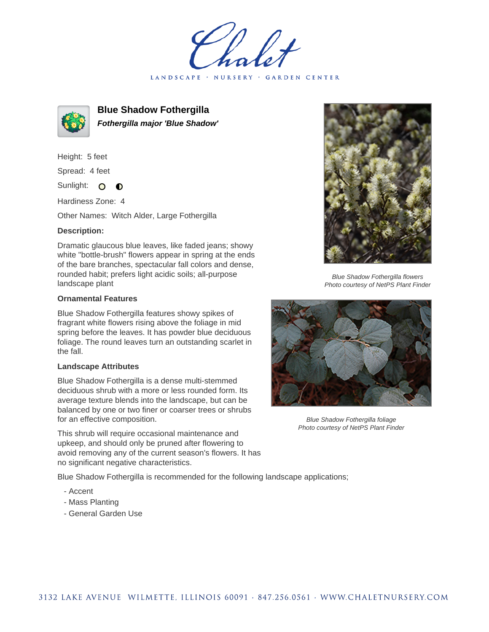LANDSCAPE · NURSERY · GARDEN CENTER



**Blue Shadow Fothergilla Fothergilla major 'Blue Shadow'**

Height: 5 feet Spread: 4 feet Sunlight: O  $\bullet$ 

Hardiness Zone: 4

Other Names: Witch Alder, Large Fothergilla

## **Description:**

Dramatic glaucous blue leaves, like faded jeans; showy white "bottle-brush" flowers appear in spring at the ends of the bare branches, spectacular fall colors and dense, rounded habit; prefers light acidic soils; all-purpose landscape plant

## **Ornamental Features**

Blue Shadow Fothergilla features showy spikes of fragrant white flowers rising above the foliage in mid spring before the leaves. It has powder blue deciduous foliage. The round leaves turn an outstanding scarlet in the fall.

## **Landscape Attributes**

Blue Shadow Fothergilla is a dense multi-stemmed deciduous shrub with a more or less rounded form. Its average texture blends into the landscape, but can be balanced by one or two finer or coarser trees or shrubs for an effective composition.

This shrub will require occasional maintenance and upkeep, and should only be pruned after flowering to avoid removing any of the current season's flowers. It has no significant negative characteristics.

Blue Shadow Fothergilla is recommended for the following landscape applications;

- Accent
- Mass Planting
- General Garden Use



Blue Shadow Fothergilla flowers Photo courtesy of NetPS Plant Finder



Blue Shadow Fothergilla foliage Photo courtesy of NetPS Plant Finder